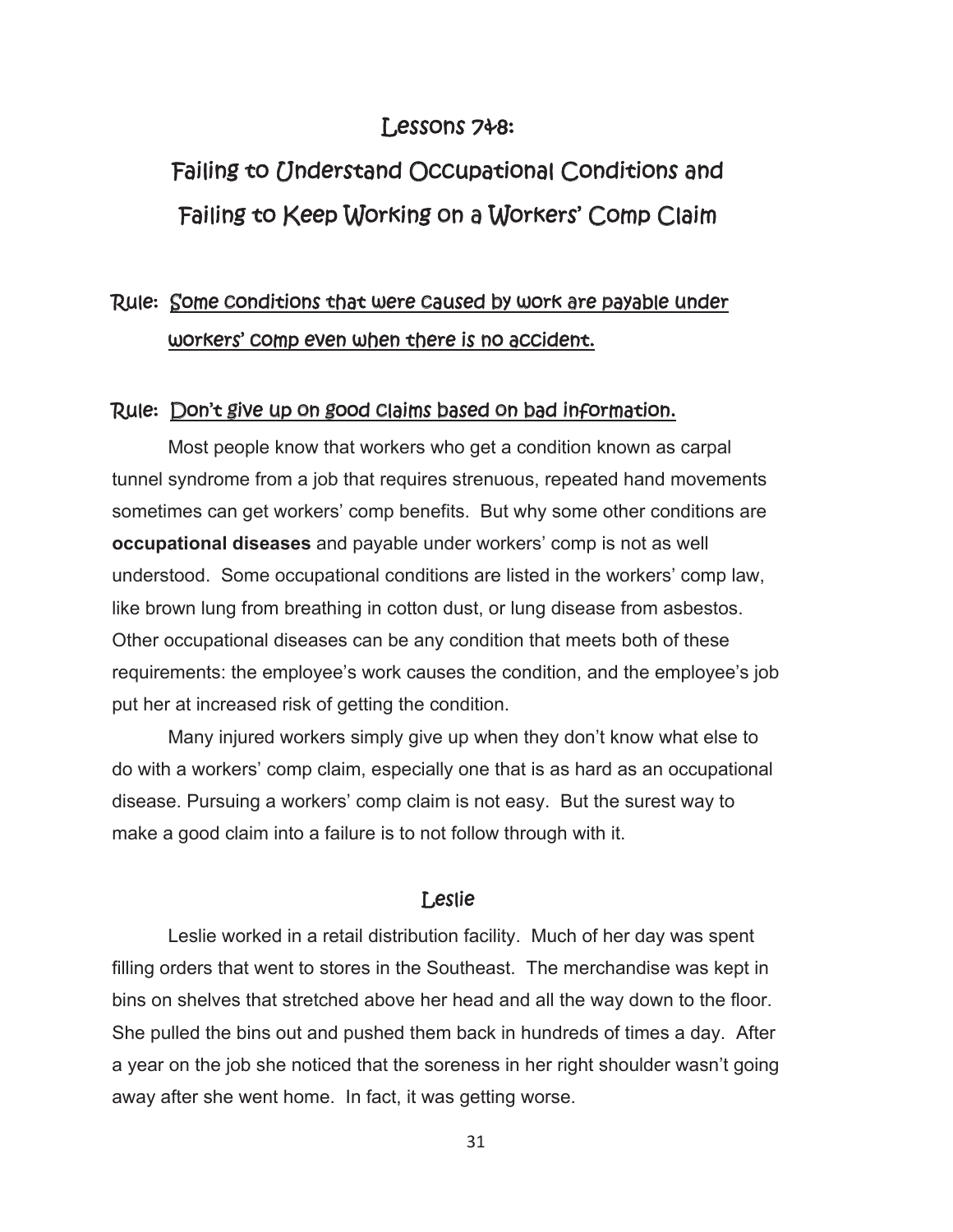### Lessons 7&8:

# Failing to Understand Occupational Conditions and Failing to Keep Working on a Workers' Comp Claim

# Rule: Some conditions that were caused by work are payable under workers' comp even when there is no accident.

#### Rule: Don't give up on good claims based on bad information.

 Most people know that workers who get a condition known as carpal tunnel syndrome from a job that requires strenuous, repeated hand movements sometimes can get workers' comp benefits. But why some other conditions are **occupational diseases** and payable under workers' comp is not as well understood. Some occupational conditions are listed in the workers' comp law, like brown lung from breathing in cotton dust, or lung disease from asbestos. Other occupational diseases can be any condition that meets both of these requirements: the employee's work causes the condition, and the employee's job put her at increased risk of getting the condition.

 Many injured workers simply give up when they don't know what else to do with a workers' comp claim, especially one that is as hard as an occupational disease. Pursuing a workers' comp claim is not easy. But the surest way to make a good claim into a failure is to not follow through with it.

#### Leslie

 Leslie worked in a retail distribution facility. Much of her day was spent filling orders that went to stores in the Southeast. The merchandise was kept in bins on shelves that stretched above her head and all the way down to the floor. She pulled the bins out and pushed them back in hundreds of times a day. After a year on the job she noticed that the soreness in her right shoulder wasn't going away after she went home. In fact, it was getting worse.

31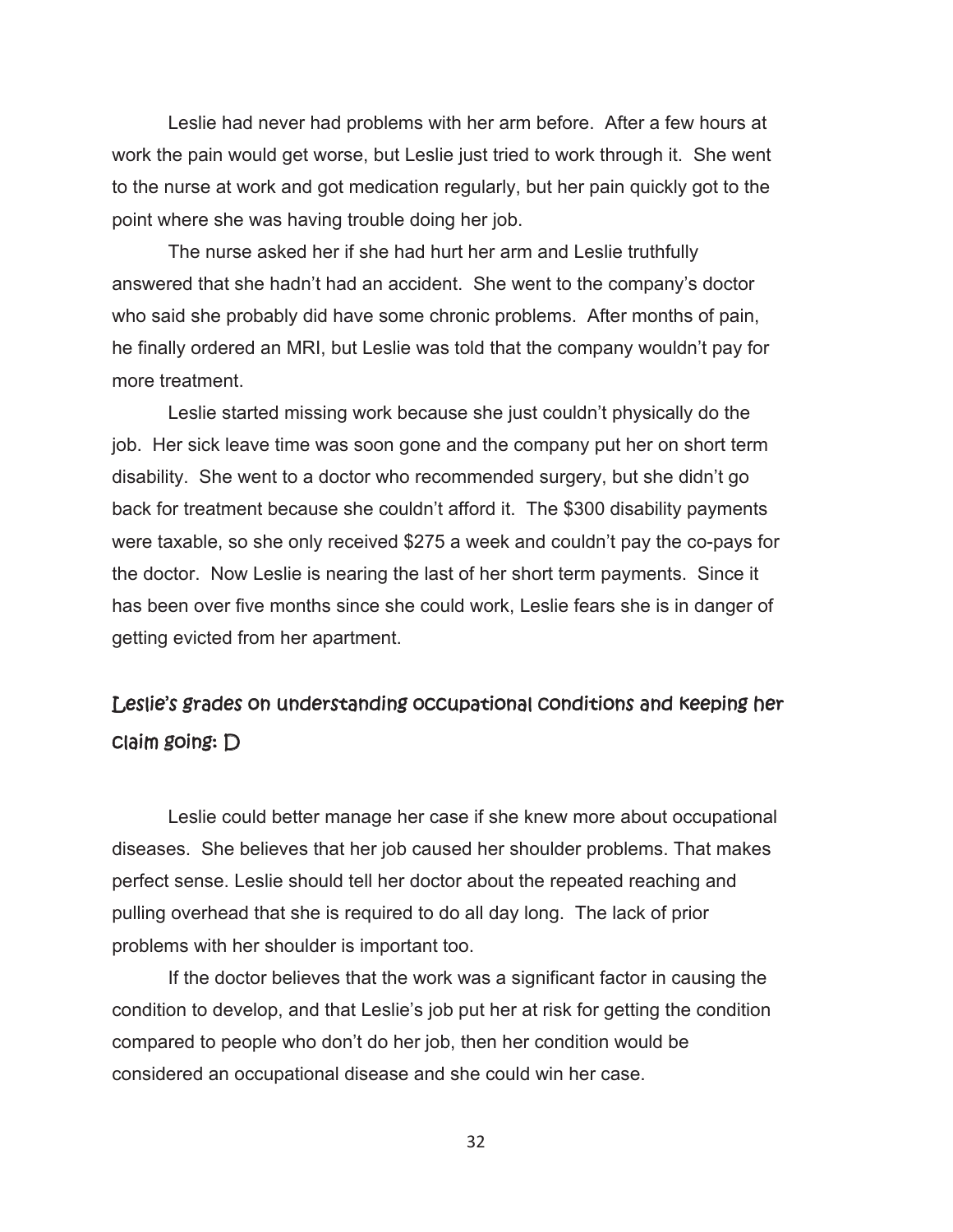Leslie had never had problems with her arm before. After a few hours at work the pain would get worse, but Leslie just tried to work through it. She went to the nurse at work and got medication regularly, but her pain quickly got to the point where she was having trouble doing her job.

The nurse asked her if she had hurt her arm and Leslie truthfully answered that she hadn't had an accident. She went to the company's doctor who said she probably did have some chronic problems. After months of pain, he finally ordered an MRI, but Leslie was told that the company wouldn't pay for more treatment.

Leslie started missing work because she just couldn't physically do the job. Her sick leave time was soon gone and the company put her on short term disability. She went to a doctor who recommended surgery, but she didn't go back for treatment because she couldn't afford it. The \$300 disability payments were taxable, so she only received \$275 a week and couldn't pay the co-pays for the doctor. Now Leslie is nearing the last of her short term payments. Since it has been over five months since she could work, Leslie fears she is in danger of getting evicted from her apartment.

## Leslie's grades on understanding occupational conditions and keeping her claim going: D

 Leslie could better manage her case if she knew more about occupational diseases. She believes that her job caused her shoulder problems. That makes perfect sense. Leslie should tell her doctor about the repeated reaching and pulling overhead that she is required to do all day long. The lack of prior problems with her shoulder is important too.

 If the doctor believes that the work was a significant factor in causing the condition to develop, and that Leslie's job put her at risk for getting the condition compared to people who don't do her job, then her condition would be considered an occupational disease and she could win her case.